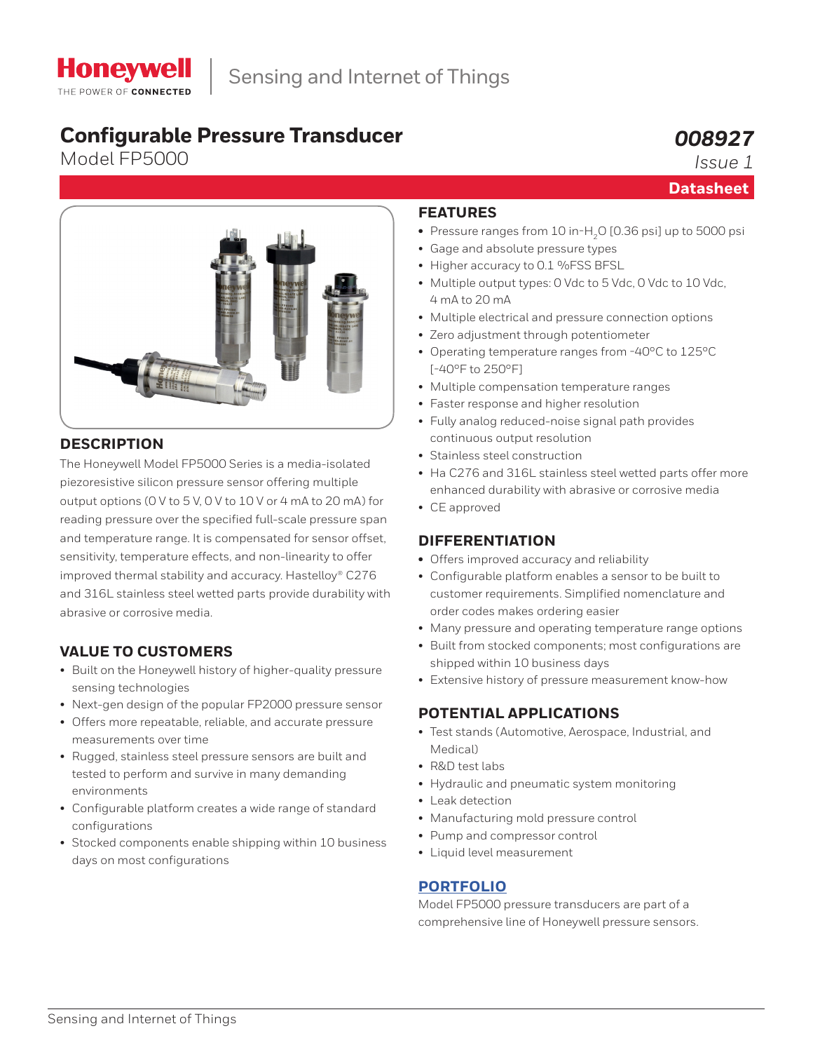# **Configurable Pressure Transducer**

Model FP5000

# *008927*

**Datasheet**

*Issue 1*

## **DESCRIPTION**

The Honeywell Model FP5000 Series is a media-isolated piezoresistive silicon pressure sensor offering multiple output options (0 V to 5 V, 0 V to 10 V or 4 mA to 20 mA) for reading pressure over the specified full-scale pressure span and temperature range. It is compensated for sensor offset, sensitivity, temperature effects, and non-linearity to offer improved thermal stability and accuracy. Hastelloy® C276 and 316L stainless steel wetted parts provide durability with abrasive or corrosive media.

# **VALUE TO CUSTOMERS**

- Built on the Honeywell history of higher-quality pressure sensing technologies
- Next-gen design of the popular FP2000 pressure sensor
- Offers more repeatable, reliable, and accurate pressure measurements over time
- Rugged, stainless steel pressure sensors are built and tested to perform and survive in many demanding environments
- Configurable platform creates a wide range of standard configurations
- Stocked components enable shipping within 10 business days on most configurations

# **FEATURES**

- Pressure ranges from 10 in-H<sub>2</sub>O [0.36 psi] up to 5000 psi
- Gage and absolute pressure types
- Higher accuracy to 0.1 %FSS BFSL
- Multiple output types: 0 Vdc to 5 Vdc, 0 Vdc to 10 Vdc, 4 mA to 20 mA
- Multiple electrical and pressure connection options
- Zero adjustment through potentiometer
- Operating temperature ranges from -40°C to 125°C [-40°F to 250°F]
- Multiple compensation temperature ranges
- Faster response and higher resolution
- Fully analog reduced-noise signal path provides continuous output resolution
- Stainless steel construction
- Ha C276 and 316L stainless steel wetted parts offer more enhanced durability with abrasive or corrosive media
- CE approved

### **DIFFERENTIATION**

- **•** Offers improved accuracy and reliability
- Configurable platform enables a sensor to be built to customer requirements. Simplified nomenclature and order codes makes ordering easier
- Many pressure and operating temperature range options
- Built from stocked components; most configurations are shipped within 10 business days
- Extensive history of pressure measurement know-how

### **POTENTIAL APPLICATIONS**

- Test stands (Automotive, Aerospace, Industrial, and Medical)
- R&D test labs
- Hydraulic and pneumatic system monitoring
- Leak detection
- Manufacturing mold pressure control
- Pump and compressor control
- Liquid level measurement

### **[PORTFOLIO](https://sensing.honeywell.com/sensors/test-and-measurement-pressure-transducers)**

Model FP5000 pressure transducers are part of a comprehensive line of Honeywell pressure sensors.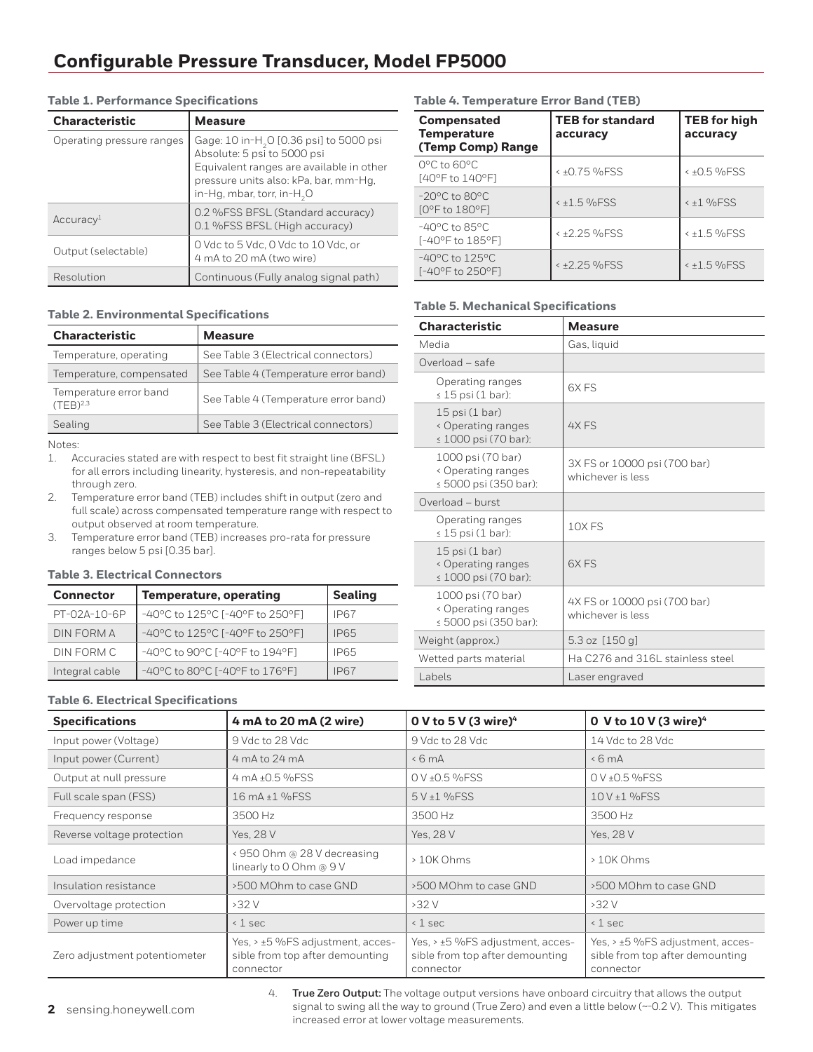| <b>Characteristic</b>     | <b>Measure</b>                                                                                                                                                                                                    |
|---------------------------|-------------------------------------------------------------------------------------------------------------------------------------------------------------------------------------------------------------------|
| Operating pressure ranges | Gage: 10 in-H <sub>2</sub> O [0.36 psi] to 5000 psi<br>Absolute: 5 psi to 5000 psi<br>Equivalent ranges are available in other<br>pressure units also: kPa, bar, mm-Hg,<br>in-Hg, mbar, torr, in-H <sub>2</sub> O |
| Accuracy <sup>1</sup>     | 0.2 %FSS BFSL (Standard accuracy)<br>0.1 %FSS BFSL (High accuracy)                                                                                                                                                |
| Output (selectable)       | 0 Vdc to 5 Vdc, 0 Vdc to 10 Vdc, or<br>4 mA to 20 mA (two wire)                                                                                                                                                   |
| Resolution                | Continuous (Fully analog signal path)                                                                                                                                                                             |

#### **Table 1. Performance Specifications**

#### **Table 2. Environmental Specifications**

| <b>Characteristic</b>                          | <b>Measure</b>                       |
|------------------------------------------------|--------------------------------------|
| Temperature, operating                         | See Table 3 (Electrical connectors)  |
| Temperature, compensated                       | See Table 4 (Temperature error band) |
| Temperature error band<br>(TFB) <sup>2,3</sup> | See Table 4 (Temperature error band) |
| Sealing                                        | See Table 3 (Electrical connectors)  |

Notes:

- 1. Accuracies stated are with respect to best fit straight line (BFSL) for all errors including linearity, hysteresis, and non-repeatability through zero.
- 2. Temperature error band (TEB) includes shift in output (zero and full scale) across compensated temperature range with respect to output observed at room temperature.
- 3. Temperature error band (TEB) increases pro-rata for pressure ranges below 5 psi [0.35 bar].

#### **Table 3. Electrical Connectors**

| <b>Connector</b> | <b>Temperature, operating</b>   | <b>Sealing</b> |
|------------------|---------------------------------|----------------|
| PT-02A-10-6P     | -40°C to 125°C [-40°F to 250°F] | IP67           |
| DIN FORM A       | -40°C to 125°C [-40°F to 250°F] | IP65           |
| DIN FORM C       | -40°C to 90°C [-40°F to 194°F]  | IP65           |
| Integral cable   | -40°C to 80°C [-40°F to 176°F]  | IP67           |

### **Table 6. Electrical Specifications**

| <b>Specifications</b>         | 4 mA to 20 mA (2 wire)                                                           | O V to 5 V (3 wire) $4$                                                          | 0 V to 10 V (3 wire) <sup>4</sup>                                                |
|-------------------------------|----------------------------------------------------------------------------------|----------------------------------------------------------------------------------|----------------------------------------------------------------------------------|
| Input power (Voltage)         | 9 Vdc to 28 Vdc                                                                  | 9 Vdc to 28 Vdc                                                                  | 14 Vdc to 28 Vdc                                                                 |
| Input power (Current)         | 4 mA to 24 mA                                                                    | &6mA                                                                             | $\leq 6$ mA                                                                      |
| Output at null pressure       | 4 mA ±0.5 %FSS                                                                   | $0 V + 0.5 %$ FSS                                                                | 0 V ± 0.5 % FSS                                                                  |
| Full scale span (FSS)         | 16 mA ±1 %FSS                                                                    | 5 V ±1 %FSS                                                                      | 10 V ± 1 % FSS                                                                   |
| Frequency response            | 3500 Hz                                                                          | 3500 Hz                                                                          | 3500 Hz                                                                          |
| Reverse voltage protection    | Yes, 28 V                                                                        | Yes, 28 V                                                                        | Yes, 28 V                                                                        |
| Load impedance                | < 950 Ohm @ 28 V decreasing<br>linearly to 0 Ohm @ 9 V                           | $>10K$ Ohms                                                                      | > 10K Ohms                                                                       |
| Insulation resistance         | >500 MOhm to case GND                                                            | >500 MOhm to case GND                                                            | >500 MOhm to case GND                                                            |
| Overvoltage protection        | $>32$ V                                                                          | >32V                                                                             | >32V                                                                             |
| Power up time                 | $\leq 1$ sec                                                                     | $\leq 1$ sec                                                                     | $\leq 1$ sec                                                                     |
| Zero adjustment potentiometer | Yes, > ±5 %FS adjustment, acces-<br>sible from top after demounting<br>connector | Yes, > ±5 %FS adjustment, acces-<br>sible from top after demounting<br>connector | Yes, > ±5 %FS adjustment, acces-<br>sible from top after demounting<br>connector |

### **Table 4. Temperature Error Band (TEB)**

| <b>Compensated</b><br><b>Temperature</b><br>(Temp Comp) Range | <b>TEB for standard</b><br>accuracy | <b>TEB for high</b><br>accuracy |
|---------------------------------------------------------------|-------------------------------------|---------------------------------|
| 0°C to 60°C<br>[40°F to 140°F]                                | < ±0.75 %FSS                        | $4 + 0.5$ %FSS                  |
| $-20^{\circ}$ C to 80 $^{\circ}$ C<br>[0°F to 180°F]          | $4 + 1.5$ %FSS                      | $< +1$ %FSS                     |
| $-40^{\circ}$ C to 85 $^{\circ}$ C<br>[-40°F to 185°F]        | $4 + 2.25$ %FSS                     | $4 + 1.5$ %FSS                  |
| $-40^{\circ}$ C to $125^{\circ}$ C<br>[-40°F to 250°F]        | $42.25\%$ FSS                       | $4 + 1.5$ %FSS                  |

#### **Table 5. Mechanical Specifications**

| <b>Characteristic</b>                                                 | <b>Measure</b>                                    |
|-----------------------------------------------------------------------|---------------------------------------------------|
| Media                                                                 | Gas, liguid                                       |
| Overload - safe                                                       |                                                   |
| Operating ranges<br>$\leq 15$ psi (1 bar):                            | 6XFS                                              |
| $15$ psi $(1$ bar)<br>< Operating ranges<br>$\leq 1000$ psi (70 bar): | 4X FS                                             |
| 1000 psi (70 bar)<br>< Operating ranges<br>≤ 5000 psi (350 bar):      | 3X FS or 10000 psi (700 bar)<br>whichever is less |
| Overload - burst                                                      |                                                   |
| Operating ranges<br>$\leq 15$ psi (1 bar):                            | 10XFS                                             |
| $15$ psi $(1$ bar)<br>< Operating ranges<br>≤ 1000 psi (70 bar):      | <b>6XFS</b>                                       |
| 1000 psi (70 bar)<br>< Operating ranges<br>≤ 5000 psi (350 bar):      | 4X FS or 10000 psi (700 bar)<br>whichever is less |
| Weight (approx.)                                                      | 5.3 oz [150 g]                                    |
| Wetted parts material                                                 | Ha C276 and 316L stainless steel                  |
| Labels                                                                | Laser engraved                                    |

4. **True Zero Output:** The voltage output versions have onboard circuitry that allows the output signal to swing all the way to ground (True Zero) and even a little below (~-0.2 V). This mitigates increased error at lower voltage measurements.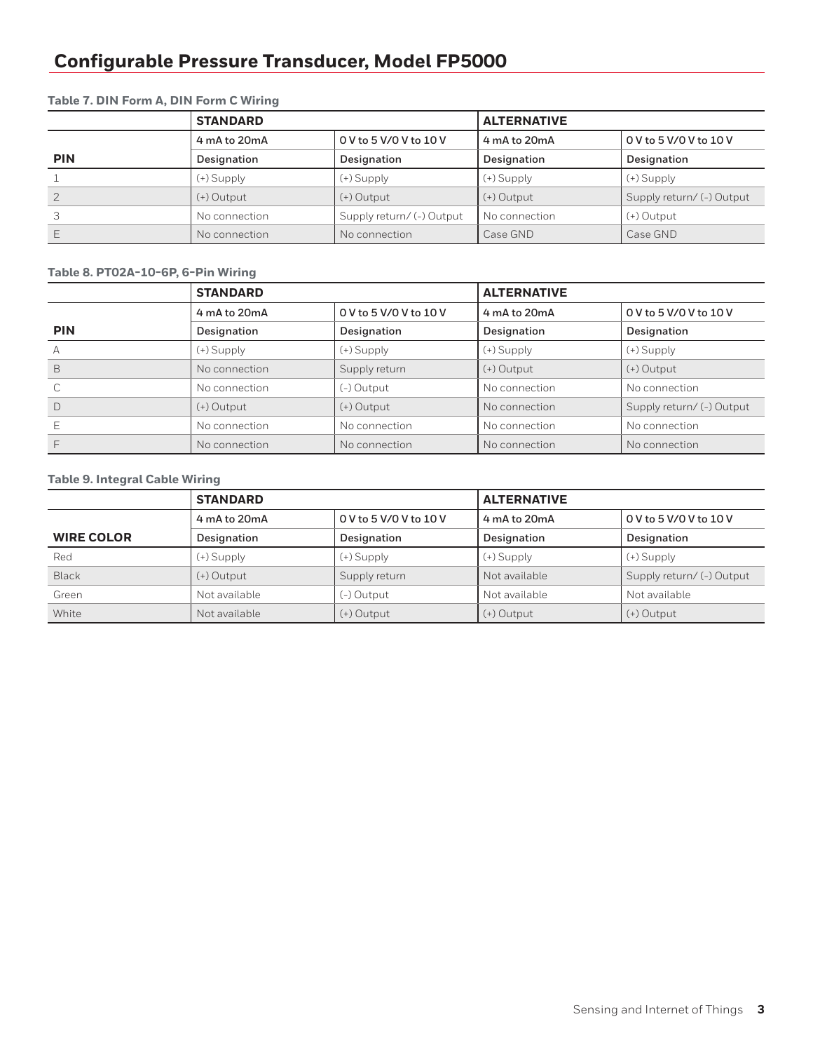|               | <b>STANDARD</b> |                           | <b>ALTERNATIVE</b> |                           |
|---------------|-----------------|---------------------------|--------------------|---------------------------|
|               | 4 mA to 20mA    | 0 V to 5 V/0 V to 10 V    | 4 mA to 20mA       | 0 V to 5 V/0 V to 10 V    |
| <b>PIN</b>    | Designation     | Designation               | Designation        | Designation               |
|               | $(+)$ Supply    | $(+)$ Supply              | (+) Supply         | $(+)$ Supply              |
| $\mathcal{P}$ | $(+)$ Output    | $(+)$ Output              | $(+)$ Output       | Supply return/ (-) Output |
| 3             | No connection   | Supply return/ (-) Output | No connection      | $(+)$ Output              |
|               | No connection   | No connection             | Case GND           | Case GND                  |

### **Table 7. DIN Form A, DIN Form C Wiring**

### **Table 8. PT02A-10-6P, 6-Pin Wiring**

|            | <b>STANDARD</b> |                        | <b>ALTERNATIVE</b> |                           |
|------------|-----------------|------------------------|--------------------|---------------------------|
|            | 4 mA to 20mA    | 0 V to 5 V/0 V to 10 V | 4 mA to 20mA       | 0 V to 5 V/0 V to 10 V    |
| <b>PIN</b> | Designation     | Designation            | Designation        | Designation               |
| А          | $(+)$ Supply    | (+) Supply             | (+) Supply         | $(+)$ Supply              |
| B          | No connection   | Supply return          | $(+)$ Output       | $(+)$ Output              |
|            | No connection   | (-) Output             | No connection      | No connection             |
| $\Box$     | $(+)$ Output    | $(+)$ Output           | No connection      | Supply return/ (-) Output |
|            | No connection   | No connection          | No connection      | No connection             |
|            | No connection   | No connection          | No connection      | No connection             |

### **Table 9. Integral Cable Wiring**

|                   | <b>STANDARD</b> |                        | <b>ALTERNATIVE</b> |                           |
|-------------------|-----------------|------------------------|--------------------|---------------------------|
|                   | 4 mA to 20mA    | 0 V to 5 V/0 V to 10 V | 4 mA to 20mA       | $0$ V to 5 V/0 V to 10 V  |
| <b>WIRE COLOR</b> | Designation     | Designation            | Designation        | Designation               |
| Red               | (+) Supply      | $(+)$ Supply           | $(+)$ Supply       | $(+)$ Supply              |
| <b>Black</b>      | $(+)$ Output    | Supply return          | Not available      | Supply return/ (-) Output |
| Green             | Not available   | (-) Output             | Not available      | Not available             |
| White             | Not available   | $(+)$ Output           | $(+)$ Output       | $(+)$ Output              |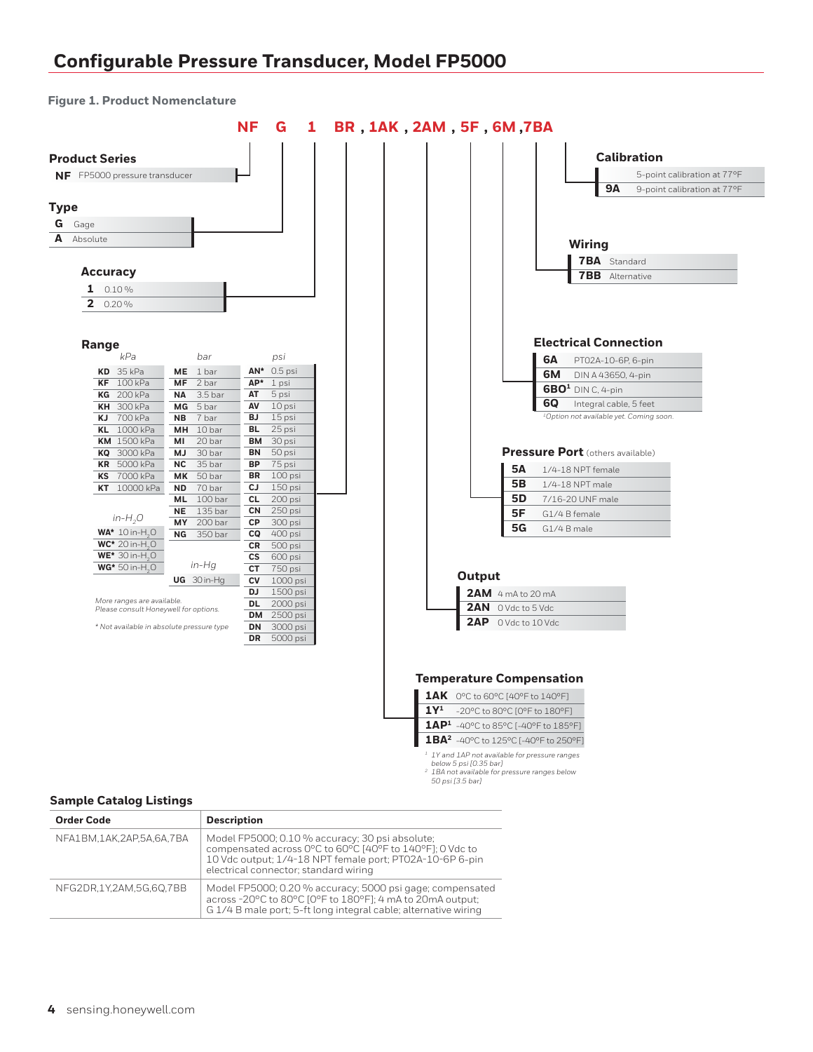**Figure 1. Product Nomenclature**



#### **Sample Catalog Listings**

| <b>Order Code</b>        | <b>Description</b>                                                                                                                                                                                               |
|--------------------------|------------------------------------------------------------------------------------------------------------------------------------------------------------------------------------------------------------------|
| NFA1BM,1AK,2AP,5A,6A,7BA | Model FP5000; 0.10 % accuracy; 30 psi absolute;<br>compensated across 0°C to 60°C [40°F to 140°F]; 0 Vdc to<br>10 Vdc output; 1/4-18 NPT female port; PT02A-10-6P 6-pin<br>electrical connector; standard wiring |
| NFG2DR.1Y.2AM.5G.60.7BB  | Model FP5000; 0.20 % accuracy; 5000 psi gage; compensated<br>across -20°C to 80°C [0°F to 180°F]; 4 mA to 20mA output;<br>G 1/4 B male port; 5-ft long integral cable; alternative wiring                        |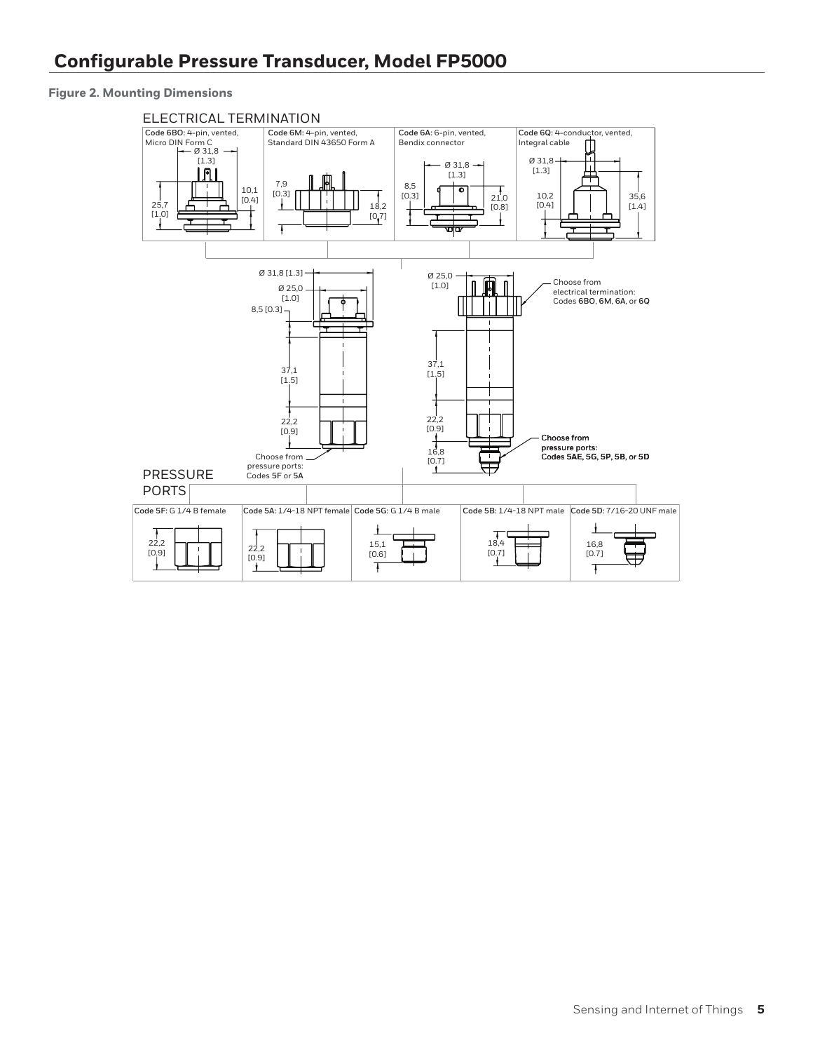**Figure 2. Mounting Dimensions**